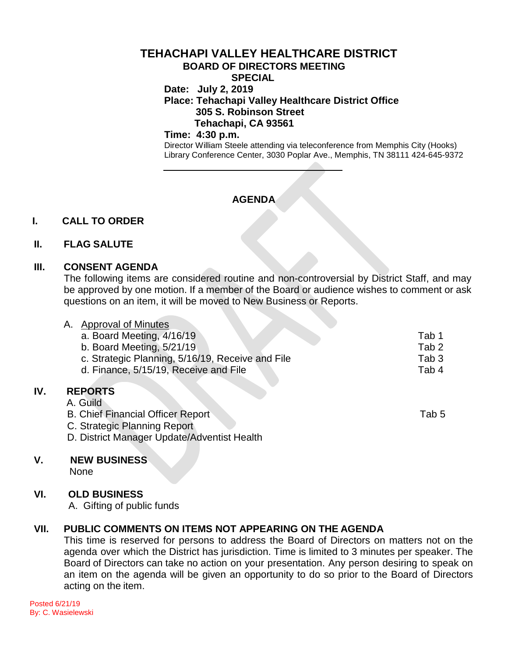#### **TEHACHAPI VALLEY HEALTHCARE DISTRICT BOARD OF DIRECTORS MEETING SPECIAL**

**Date: July 2, 2019**

# **Place: Tehachapi Valley Healthcare District Office 305 S. Robinson Street Tehachapi, CA 93561**

#### **Time: 4:30 p.m.**

Director William Steele attending via teleconference from Memphis City (Hooks) Library Conference Center, 3030 Poplar Ave., Memphis, TN 38111 424-645-9372

# **AGENDA**

## **I. CALL TO ORDER**

#### **II. FLAG SALUTE**

#### **III. CONSENT AGENDA**

The following items are considered routine and non-controversial by District Staff, and may be approved by one motion. If a member of the Board or audience wishes to comment or ask questions on an item, it will be moved to New Business or Reports.

| А. | <b>Approval of Minutes</b>                       |                  |
|----|--------------------------------------------------|------------------|
|    | a. Board Meeting, 4/16/19                        | Tab 1            |
|    | b. Board Meeting, 5/21/19                        | Tab <sub>2</sub> |
|    | c. Strategic Planning, 5/16/19, Receive and File | Tab <sub>3</sub> |
|    | d. Finance, 5/15/19, Receive and File            | Tab 4            |
|    |                                                  |                  |
|    | <b>REPORTS</b>                                   |                  |
|    | A. Guild                                         |                  |

B. Chief Financial Officer Report Tab 5 C. Strategic Planning Report

D. District Manager Update/Adventist Health

#### **V. NEW BUSINESS**

None

**IV.** 

### **VI. OLD BUSINESS**

A. Gifting of public funds

### **VII. PUBLIC COMMENTS ON ITEMS NOT APPEARING ON THE AGENDA**

This time is reserved for persons to address the Board of Directors on matters not on the agenda over which the District has jurisdiction. Time is limited to 3 minutes per speaker. The Board of Directors can take no action on your presentation. Any person desiring to speak on an item on the agenda will be given an opportunity to do so prior to the Board of Directors acting on the item.

Posted 6/21/19 By: C. Wasielewski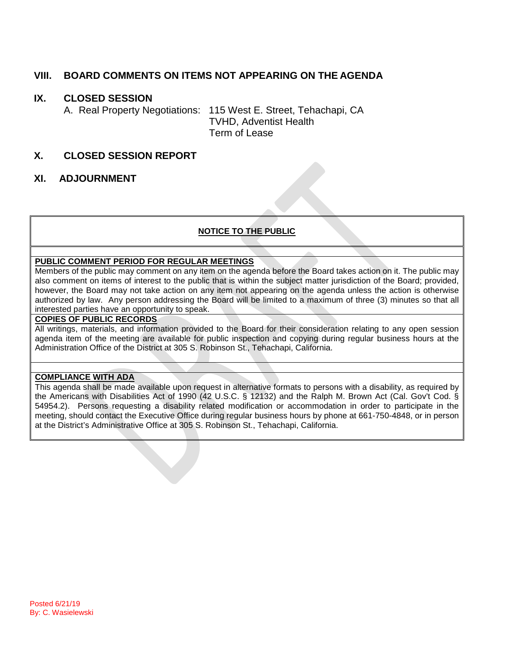### **VIII. BOARD COMMENTS ON ITEMS NOT APPEARING ON THE AGENDA**

### **IX. CLOSED SESSION**

A. Real Property Negotiations: 115 West E. Street, Tehachapi, CA TVHD, Adventist Health Term of Lease

### **X. CLOSED SESSION REPORT**

#### **XI. ADJOURNMENT**

### **NOTICE TO THE PUBLIC**

#### **PUBLIC COMMENT PERIOD FOR REGULAR MEETINGS**

Members of the public may comment on any item on the agenda before the Board takes action on it. The public may also comment on items of interest to the public that is within the subject matter jurisdiction of the Board; provided, however, the Board may not take action on any item not appearing on the agenda unless the action is otherwise authorized by law. Any person addressing the Board will be limited to a maximum of three (3) minutes so that all interested parties have an opportunity to speak.

#### **COPIES OF PUBLIC RECORDS**

All writings, materials, and information provided to the Board for their consideration relating to any open session agenda item of the meeting are available for public inspection and copying during regular business hours at the Administration Office of the District at 305 S. Robinson St., Tehachapi, California.

#### **COMPLIANCE WITH ADA**

This agenda shall be made available upon request in alternative formats to persons with a disability, as required by the Americans with Disabilities Act of 1990 (42 U.S.C. § 12132) and the Ralph M. Brown Act (Cal. Gov't Cod. § 54954.2). Persons requesting a disability related modification or accommodation in order to participate in the meeting, should contact the Executive Office during regular business hours by phone at 661-750-4848, or in person at the District's Administrative Office at 305 S. Robinson St., Tehachapi, California.